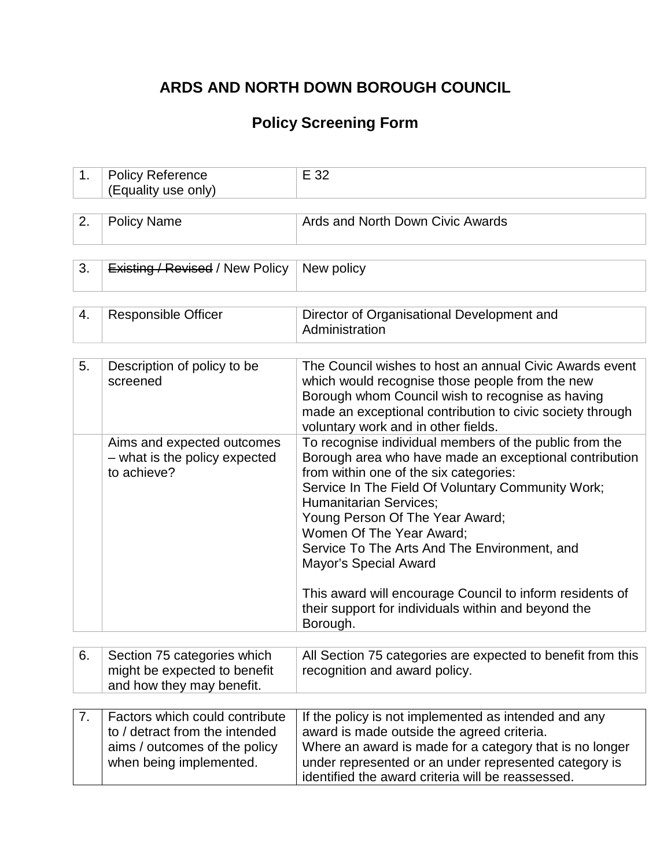# **ARDS AND NORTH DOWN BOROUGH COUNCIL**

## **Policy Screening Form**

| 1. | <b>Policy Reference</b><br>(Equality use only)                                                                               | E 32                                                                                                                                                                                                                                                                                                                                                                                                                                                                                                                           |
|----|------------------------------------------------------------------------------------------------------------------------------|--------------------------------------------------------------------------------------------------------------------------------------------------------------------------------------------------------------------------------------------------------------------------------------------------------------------------------------------------------------------------------------------------------------------------------------------------------------------------------------------------------------------------------|
|    |                                                                                                                              |                                                                                                                                                                                                                                                                                                                                                                                                                                                                                                                                |
| 2. | <b>Policy Name</b>                                                                                                           | Ards and North Down Civic Awards                                                                                                                                                                                                                                                                                                                                                                                                                                                                                               |
|    |                                                                                                                              |                                                                                                                                                                                                                                                                                                                                                                                                                                                                                                                                |
| 3. | <b>Existing / Revised / New Policy</b>                                                                                       | New policy                                                                                                                                                                                                                                                                                                                                                                                                                                                                                                                     |
|    |                                                                                                                              |                                                                                                                                                                                                                                                                                                                                                                                                                                                                                                                                |
| 4. | <b>Responsible Officer</b>                                                                                                   | Director of Organisational Development and<br>Administration                                                                                                                                                                                                                                                                                                                                                                                                                                                                   |
|    |                                                                                                                              |                                                                                                                                                                                                                                                                                                                                                                                                                                                                                                                                |
| 5. | Description of policy to be<br>screened                                                                                      | The Council wishes to host an annual Civic Awards event<br>which would recognise those people from the new<br>Borough whom Council wish to recognise as having<br>made an exceptional contribution to civic society through<br>voluntary work and in other fields.                                                                                                                                                                                                                                                             |
|    | Aims and expected outcomes<br>- what is the policy expected<br>to achieve?                                                   | To recognise individual members of the public from the<br>Borough area who have made an exceptional contribution<br>from within one of the six categories:<br>Service In The Field Of Voluntary Community Work;<br><b>Humanitarian Services:</b><br>Young Person Of The Year Award;<br>Women Of The Year Award;<br>Service To The Arts And The Environment, and<br><b>Mayor's Special Award</b><br>This award will encourage Council to inform residents of<br>their support for individuals within and beyond the<br>Borough. |
|    |                                                                                                                              |                                                                                                                                                                                                                                                                                                                                                                                                                                                                                                                                |
| 6. | Section 75 categories which<br>might be expected to benefit<br>and how they may benefit.                                     | All Section 75 categories are expected to benefit from this<br>recognition and award policy.                                                                                                                                                                                                                                                                                                                                                                                                                                   |
|    |                                                                                                                              |                                                                                                                                                                                                                                                                                                                                                                                                                                                                                                                                |
| 7. | Factors which could contribute<br>to / detract from the intended<br>aims / outcomes of the policy<br>when being implemented. | If the policy is not implemented as intended and any<br>award is made outside the agreed criteria.<br>Where an award is made for a category that is no longer<br>under represented or an under represented category is<br>identified the award criteria will be reassessed.                                                                                                                                                                                                                                                    |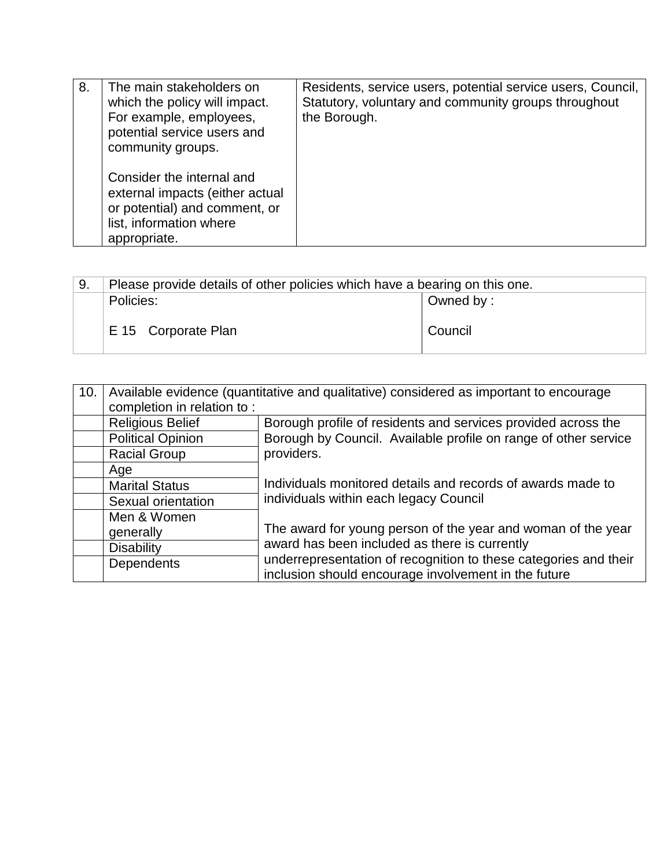| 8. | The main stakeholders on<br>which the policy will impact.<br>For example, employees,<br>potential service users and<br>community groups. | Residents, service users, potential service users, Council,<br>Statutory, voluntary and community groups throughout<br>the Borough. |
|----|------------------------------------------------------------------------------------------------------------------------------------------|-------------------------------------------------------------------------------------------------------------------------------------|
|    | Consider the internal and<br>external impacts (either actual<br>or potential) and comment, or<br>list, information where<br>appropriate. |                                                                                                                                     |

| 9. | Please provide details of other policies which have a bearing on this one. |           |
|----|----------------------------------------------------------------------------|-----------|
|    | Policies:                                                                  | Owned by: |
|    | E 15 Corporate Plan                                                        | Council   |

| 10. | Available evidence (quantitative and qualitative) considered as important to encourage |                                                                                                                          |  |
|-----|----------------------------------------------------------------------------------------|--------------------------------------------------------------------------------------------------------------------------|--|
|     | completion in relation to:                                                             |                                                                                                                          |  |
|     | <b>Religious Belief</b>                                                                | Borough profile of residents and services provided across the                                                            |  |
|     | <b>Political Opinion</b>                                                               | Borough by Council. Available profile on range of other service                                                          |  |
|     | <b>Racial Group</b>                                                                    | providers.                                                                                                               |  |
|     | Age                                                                                    |                                                                                                                          |  |
|     | <b>Marital Status</b>                                                                  | Individuals monitored details and records of awards made to                                                              |  |
|     | Sexual orientation                                                                     | individuals within each legacy Council                                                                                   |  |
|     | Men & Women                                                                            |                                                                                                                          |  |
|     | generally                                                                              | The award for young person of the year and woman of the year                                                             |  |
|     | <b>Disability</b>                                                                      | award has been included as there is currently                                                                            |  |
|     | Dependents                                                                             | underrepresentation of recognition to these categories and their<br>inclusion should encourage involvement in the future |  |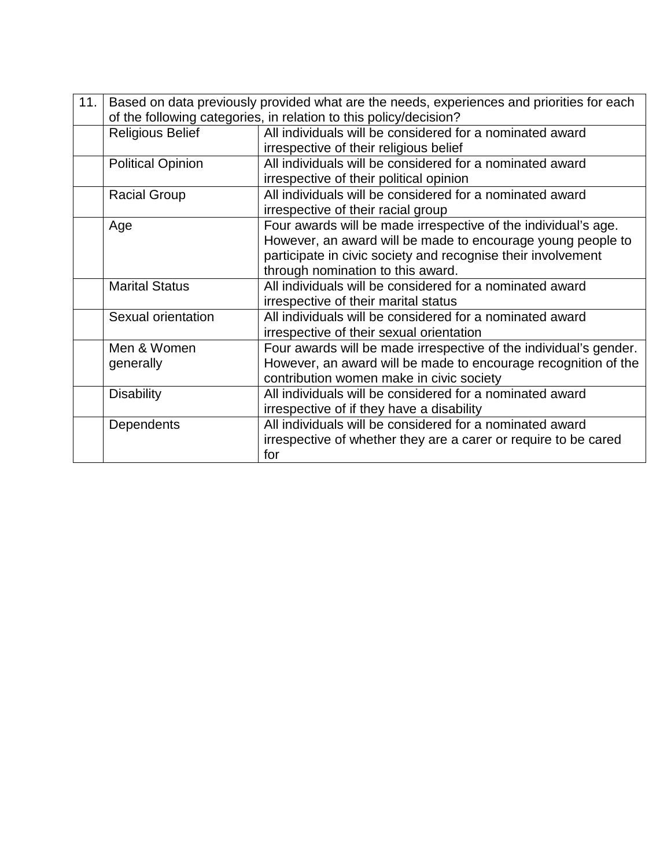| 11. | Based on data previously provided what are the needs, experiences and priorities for each |                                                                   |  |
|-----|-------------------------------------------------------------------------------------------|-------------------------------------------------------------------|--|
|     | of the following categories, in relation to this policy/decision?                         |                                                                   |  |
|     | <b>Religious Belief</b>                                                                   | All individuals will be considered for a nominated award          |  |
|     |                                                                                           | irrespective of their religious belief                            |  |
|     | <b>Political Opinion</b>                                                                  | All individuals will be considered for a nominated award          |  |
|     |                                                                                           | irrespective of their political opinion                           |  |
|     | <b>Racial Group</b>                                                                       | All individuals will be considered for a nominated award          |  |
|     |                                                                                           | irrespective of their racial group                                |  |
|     | Age                                                                                       | Four awards will be made irrespective of the individual's age.    |  |
|     |                                                                                           | However, an award will be made to encourage young people to       |  |
|     |                                                                                           | participate in civic society and recognise their involvement      |  |
|     |                                                                                           | through nomination to this award.                                 |  |
|     | <b>Marital Status</b>                                                                     | All individuals will be considered for a nominated award          |  |
|     |                                                                                           | irrespective of their marital status                              |  |
|     | Sexual orientation                                                                        | All individuals will be considered for a nominated award          |  |
|     |                                                                                           | irrespective of their sexual orientation                          |  |
|     | Men & Women                                                                               | Four awards will be made irrespective of the individual's gender. |  |
|     | generally                                                                                 | However, an award will be made to encourage recognition of the    |  |
|     |                                                                                           | contribution women make in civic society                          |  |
|     | <b>Disability</b>                                                                         | All individuals will be considered for a nominated award          |  |
|     |                                                                                           | irrespective of if they have a disability                         |  |
|     | Dependents                                                                                | All individuals will be considered for a nominated award          |  |
|     |                                                                                           | irrespective of whether they are a carer or require to be cared   |  |
|     |                                                                                           | for                                                               |  |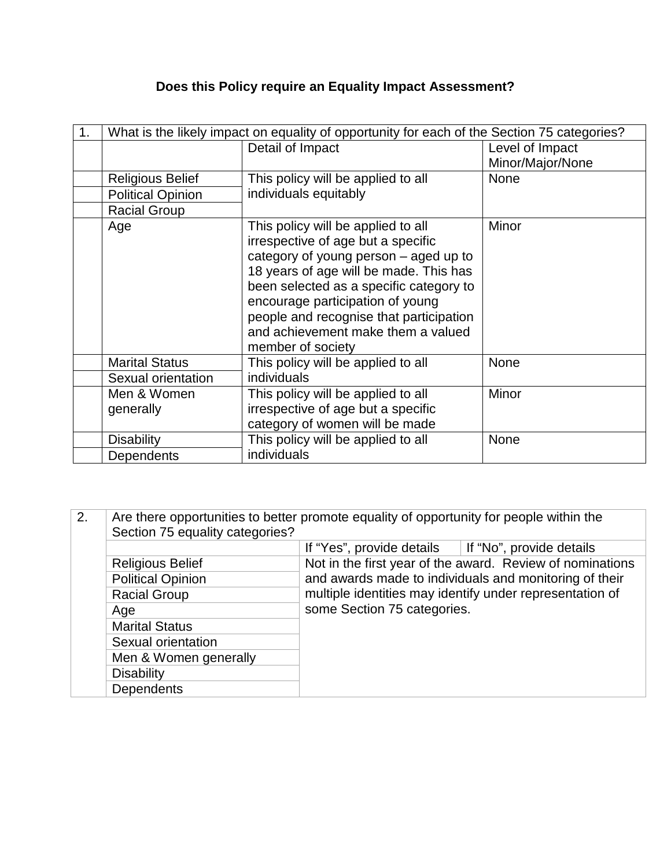### **Does this Policy require an Equality Impact Assessment?**

| 1. | What is the likely impact on equality of opportunity for each of the Section 75 categories? |                                                                                                                                                                                                                                                                                                                                                  |                  |
|----|---------------------------------------------------------------------------------------------|--------------------------------------------------------------------------------------------------------------------------------------------------------------------------------------------------------------------------------------------------------------------------------------------------------------------------------------------------|------------------|
|    |                                                                                             | Detail of Impact                                                                                                                                                                                                                                                                                                                                 | Level of Impact  |
|    |                                                                                             |                                                                                                                                                                                                                                                                                                                                                  | Minor/Major/None |
|    | Religious Belief                                                                            | This policy will be applied to all                                                                                                                                                                                                                                                                                                               | <b>None</b>      |
|    | <b>Political Opinion</b>                                                                    | individuals equitably                                                                                                                                                                                                                                                                                                                            |                  |
|    | <b>Racial Group</b>                                                                         |                                                                                                                                                                                                                                                                                                                                                  |                  |
|    | Age                                                                                         | This policy will be applied to all<br>irrespective of age but a specific<br>category of young person – aged up to<br>18 years of age will be made. This has<br>been selected as a specific category to<br>encourage participation of young<br>people and recognise that participation<br>and achievement make them a valued<br>member of society | Minor            |
|    | <b>Marital Status</b>                                                                       | This policy will be applied to all                                                                                                                                                                                                                                                                                                               | None             |
|    | Sexual orientation                                                                          | individuals                                                                                                                                                                                                                                                                                                                                      |                  |
|    | Men & Women                                                                                 | This policy will be applied to all                                                                                                                                                                                                                                                                                                               | Minor            |
|    | generally                                                                                   | irrespective of age but a specific                                                                                                                                                                                                                                                                                                               |                  |
|    |                                                                                             | category of women will be made                                                                                                                                                                                                                                                                                                                   |                  |
|    | <b>Disability</b>                                                                           | This policy will be applied to all                                                                                                                                                                                                                                                                                                               | None             |
|    | Dependents                                                                                  | individuals                                                                                                                                                                                                                                                                                                                                      |                  |

| 2. | Are there opportunities to better promote equality of opportunity for people within the |                             |                                                           |
|----|-----------------------------------------------------------------------------------------|-----------------------------|-----------------------------------------------------------|
|    | Section 75 equality categories?                                                         |                             |                                                           |
|    |                                                                                         | If "Yes", provide details   | If "No", provide details                                  |
|    | <b>Religious Belief</b>                                                                 |                             | Not in the first year of the award. Review of nominations |
|    | <b>Political Opinion</b>                                                                |                             | and awards made to individuals and monitoring of their    |
|    | <b>Racial Group</b>                                                                     |                             | multiple identities may identify under representation of  |
|    | Age                                                                                     | some Section 75 categories. |                                                           |
|    | <b>Marital Status</b>                                                                   |                             |                                                           |
|    | Sexual orientation                                                                      |                             |                                                           |
|    | Men & Women generally                                                                   |                             |                                                           |
|    | <b>Disability</b>                                                                       |                             |                                                           |
|    | Dependents                                                                              |                             |                                                           |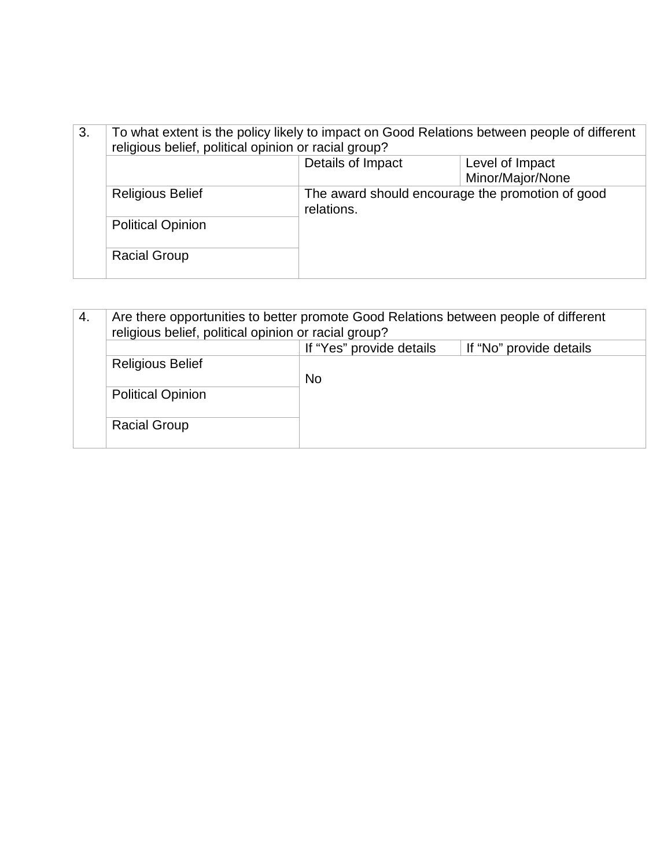| 3.<br>To what extent is the policy likely to impact on Good Relations between people of different<br>religious belief, political opinion or racial group? |                          |                                                                |                  |
|-----------------------------------------------------------------------------------------------------------------------------------------------------------|--------------------------|----------------------------------------------------------------|------------------|
|                                                                                                                                                           |                          | Details of Impact                                              | Level of Impact  |
|                                                                                                                                                           |                          |                                                                | Minor/Major/None |
|                                                                                                                                                           | <b>Religious Belief</b>  | The award should encourage the promotion of good<br>relations. |                  |
|                                                                                                                                                           | <b>Political Opinion</b> |                                                                |                  |
|                                                                                                                                                           | <b>Racial Group</b>      |                                                                |                  |

| Are there opportunities to better promote Good Relations between people of different<br>4.<br>religious belief, political opinion or racial group? |                          |                          |                         |
|----------------------------------------------------------------------------------------------------------------------------------------------------|--------------------------|--------------------------|-------------------------|
|                                                                                                                                                    |                          | If "Yes" provide details | If "No" provide details |
|                                                                                                                                                    | <b>Religious Belief</b>  | <b>No</b>                |                         |
|                                                                                                                                                    | <b>Political Opinion</b> |                          |                         |
|                                                                                                                                                    | <b>Racial Group</b>      |                          |                         |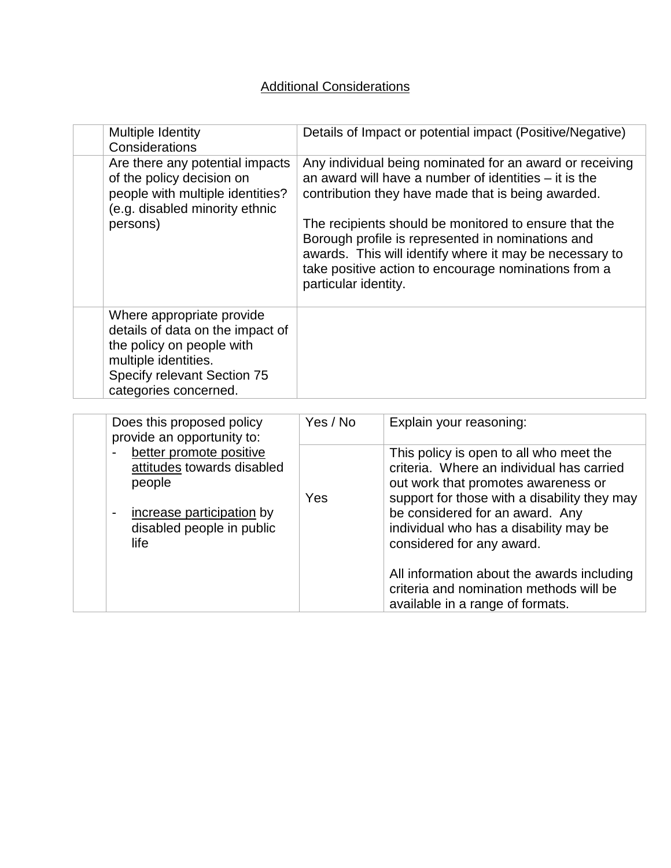### Additional Considerations

| Multiple Identity<br>Considerations                                                                                                                                        | Details of Impact or potential impact (Positive/Negative)                                                                                                                                                                                                                                                                                                                                                                          |                                                                                                                                                                                                                                                                                       |
|----------------------------------------------------------------------------------------------------------------------------------------------------------------------------|------------------------------------------------------------------------------------------------------------------------------------------------------------------------------------------------------------------------------------------------------------------------------------------------------------------------------------------------------------------------------------------------------------------------------------|---------------------------------------------------------------------------------------------------------------------------------------------------------------------------------------------------------------------------------------------------------------------------------------|
| Are there any potential impacts<br>of the policy decision on<br>people with multiple identities?<br>(e.g. disabled minority ethnic<br>persons)                             | Any individual being nominated for an award or receiving<br>an award will have a number of identities $-$ it is the<br>contribution they have made that is being awarded.<br>The recipients should be monitored to ensure that the<br>Borough profile is represented in nominations and<br>awards. This will identify where it may be necessary to<br>take positive action to encourage nominations from a<br>particular identity. |                                                                                                                                                                                                                                                                                       |
| Where appropriate provide<br>details of data on the impact of<br>the policy on people with<br>multiple identities.<br>Specify relevant Section 75<br>categories concerned. |                                                                                                                                                                                                                                                                                                                                                                                                                                    |                                                                                                                                                                                                                                                                                       |
| Does this proposed policy<br>provide an opportunity to:                                                                                                                    | Yes / No                                                                                                                                                                                                                                                                                                                                                                                                                           | Explain your reasoning:                                                                                                                                                                                                                                                               |
| better promote positive<br>attitudes towards disabled<br>people<br>increase participation by<br>$\qquad \qquad \blacksquare$<br>disabled people in public<br>life          | Yes                                                                                                                                                                                                                                                                                                                                                                                                                                | This policy is open to all who meet the<br>criteria. Where an individual has carried<br>out work that promotes awareness or<br>support for those with a disability they may<br>be considered for an award. Any<br>individual who has a disability may be<br>considered for any award. |
|                                                                                                                                                                            |                                                                                                                                                                                                                                                                                                                                                                                                                                    | All information about the awards including<br>criteria and nomination methods will be<br>available in a range of formats.                                                                                                                                                             |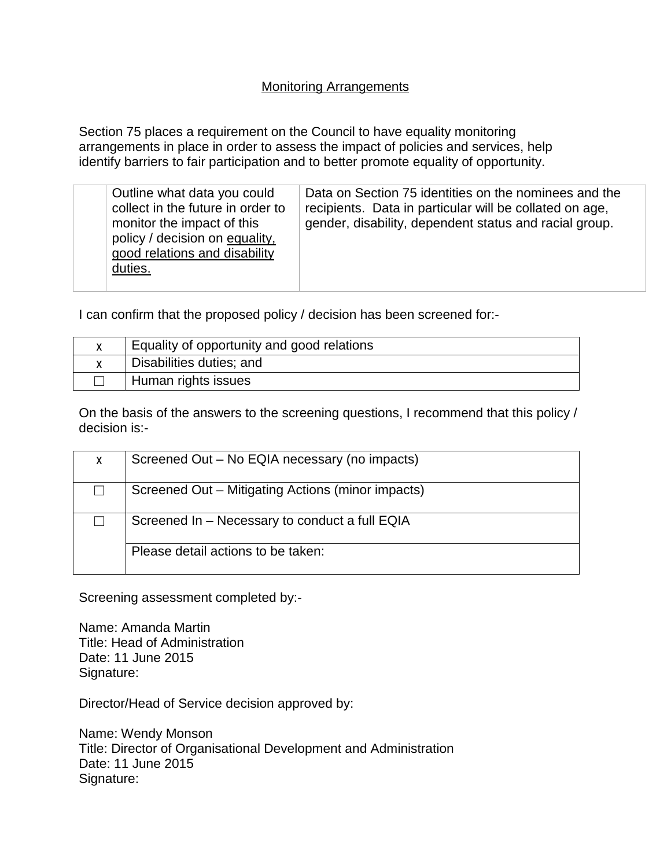#### Monitoring Arrangements

Section 75 places a requirement on the Council to have equality monitoring arrangements in place in order to assess the impact of policies and services, help identify barriers to fair participation and to better promote equality of opportunity.

| Outline what data you could<br>collect in the future in order to<br>monitor the impact of this<br>policy / decision on equality,<br>good relations and disability<br>duties. | Data on Section 75 identities on the nominees and the<br>recipients. Data in particular will be collated on age,<br>gender, disability, dependent status and racial group. |
|------------------------------------------------------------------------------------------------------------------------------------------------------------------------------|----------------------------------------------------------------------------------------------------------------------------------------------------------------------------|
|                                                                                                                                                                              |                                                                                                                                                                            |

I can confirm that the proposed policy / decision has been screened for:-

| Equality of opportunity and good relations |
|--------------------------------------------|
| Disabilities duties; and                   |
| Human rights issues                        |

On the basis of the answers to the screening questions, I recommend that this policy / decision is:-

| X | Screened Out – No EQIA necessary (no impacts)     |
|---|---------------------------------------------------|
|   | Screened Out – Mitigating Actions (minor impacts) |
|   | Screened In - Necessary to conduct a full EQIA    |
|   | Please detail actions to be taken:                |

Screening assessment completed by:-

Name: Amanda Martin Title: Head of Administration Date: 11 June 2015 Signature:

Director/Head of Service decision approved by:

Name: Wendy Monson Title: Director of Organisational Development and Administration Date: 11 June 2015 Signature: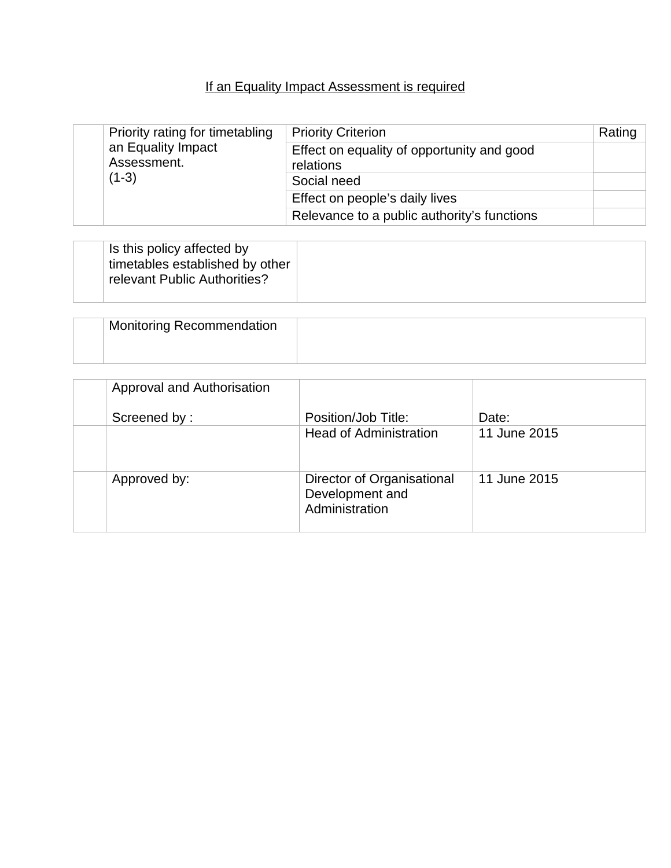#### If an Equality Impact Assessment is required

|         | Priority rating for timetabling<br>an Equality Impact<br>Assessment. | <b>Priority Criterion</b>                               | Rating |
|---------|----------------------------------------------------------------------|---------------------------------------------------------|--------|
|         |                                                                      | Effect on equality of opportunity and good<br>relations |        |
| $(1-3)$ | Social need                                                          |                                                         |        |
|         | Effect on people's daily lives                                       |                                                         |        |
|         |                                                                      | Relevance to a public authority's functions             |        |

| Is this policy affected by<br>timetables established by other<br>relevant Public Authorities? |  |
|-----------------------------------------------------------------------------------------------|--|
|-----------------------------------------------------------------------------------------------|--|

| <b>Monitoring Recommendation</b> |  |
|----------------------------------|--|
|                                  |  |

| Approval and Authorisation |                                                                 |              |
|----------------------------|-----------------------------------------------------------------|--------------|
| Screened by:               | Position/Job Title:                                             | Date:        |
|                            | <b>Head of Administration</b>                                   | 11 June 2015 |
| Approved by:               | Director of Organisational<br>Development and<br>Administration | 11 June 2015 |